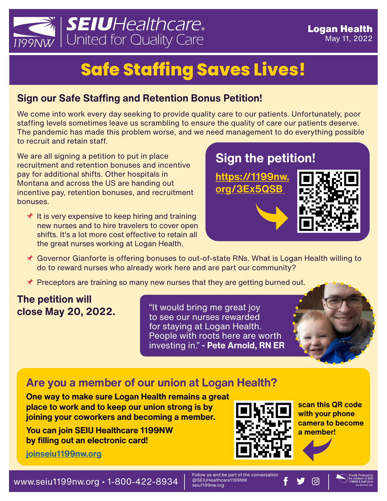

# **Safe Staffing Saves Lives!**

## **Sign our Safe Staffing and Retention Bonus Petition!**

We come into work every day seeking to provide quality care to our patients. Unfortunately, poor staffing levels sometimes leave us scrambling to ensure the quality of care our patients deserve. The pandemic has made this problem worse, and we need management to do everything possible to recruit and retain staff.

We are all signing a petition to put in place recruitment and retention bonuses and incentive pay for additional shifts. Other hospitals in Montana and across the US are handing out incentive pay, retention bonuses, and recruitment bonuses.

 $\star$  It is very expensive to keep hiring and training new nurses and to hire travelers to cover open shifts. It's a lot more cost effective to retain all the great nurses working at Logan Health.



- Governor Gianforte is offering bonuses to out-of-state RNs. What is Logan Health willing to do to reward nurses who already work here and are part our community?
- $\triangle$  Preceptors are training so many new nurses that they are getting burned out.

### **The petition will close May 20, 2022.**

"It would bring me great joy to see our nurses rewarded for staying at Logan Health. People with roots here are worth investing in." **- Pete Arnold, RN ER** 

# **Are you a member of our union at Logan Health?**

**One way to make sure Logan Health remains a great place to work and to keep our union strong is by joining your coworkers and becoming a member.**

**You can join SEIU Healthcare 1199NW by filling out an electronic card!**

**[joinseiu1199nw.org](http://joinseiu1199nw.org)**



**scan this QR code with your phone camera to become a member!**



Follow us and be part of the conversation<br>@SEIUHealthcare1199NW

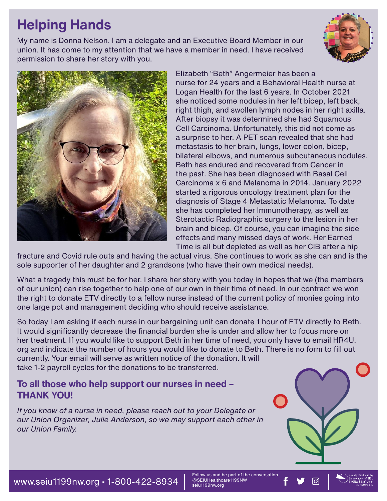# **Helping Hands**

My name is Donna Nelson. I am a delegate and an Executive Board Member in our union. It has come to my attention that we have a member in need. I have received permission to share her story with you.





Elizabeth "Beth" Angermeier has been a nurse for 24 years and a Behavioral Health nurse at Logan Health for the last 6 years. In October 2021 she noticed some nodules in her left bicep, left back, right thigh, and swollen lymph nodes in her right axilla. After biopsy it was determined she had Squamous Cell Carcinoma. Unfortunately, this did not come as a surprise to her. A PET scan revealed that she had metastasis to her brain, lungs, lower colon, bicep, bilateral elbows, and numerous subcutaneous nodules. Beth has endured and recovered from Cancer in the past. She has been diagnosed with Basal Cell Carcinoma x 6 and Melanoma in 2014. January 2022 started a rigorous oncology treatment plan for the diagnosis of Stage 4 Metastatic Melanoma. To date she has completed her Immunotherapy, as well as Sterotactic Radiographic surgery to the lesion in her brain and bicep. Of course, you can imagine the side effects and many missed days of work. Her Earned Time is all but depleted as well as her CIB after a hip

fracture and Covid rule outs and having the actual virus. She continues to work as she can and is the sole supporter of her daughter and 2 grandsons (who have their own medical needs).

What a tragedy this must be for her. I share her story with you today in hopes that we (the members of our union) can rise together to help one of our own in their time of need. In our contract we won the right to donate ETV directly to a fellow nurse instead of the current policy of monies going into one large pot and management deciding who should receive assistance.

So today I am asking if each nurse in our bargaining unit can donate 1 hour of ETV directly to Beth. It would significantly decrease the financial burden she is under and allow her to focus more on her treatment. If you would like to support Beth in her time of need, you only have to email HR4U. org and indicate the number of hours you would like to donate to Beth. There is no form to fill out currently. Your email will serve as written notice of the donation. It will take 1-2 payroll cycles for the donations to be transferred.

### **To all those who help support our nurses in need – THANK YOU!**

*If you know of a nurse in need, please reach out to your Delegate or our Union Organizer, Julie Anderson, so we may support each other in our Union Family.*



Follow us and be part of the conversation<br>@SEIUHealthcare1199NW